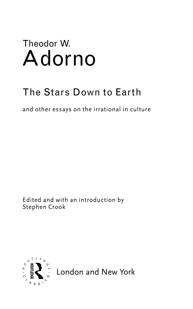## Theodor W. Adorno

## The Stars Down to Earth

and other essays on the irrational in culture

Edited and with an introduction by Stephen Crook



London and New York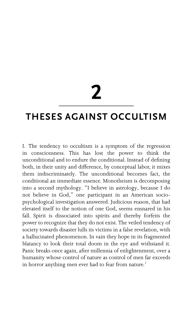# **2**

## **THESES AGAINST OCCULTISM**

I. The tendency to occultism is a symptom of the regression in consciousness. This has lost the power to think the unconditional and to endure the conditional. Instead of defining both, in their unity and difference, by conceptual labor, it mixes them indiscriminately. The unconditional becomes fact, the conditional an immediate essence. Monotheism is decomposing into a second mythology. "I believe in astrology, because I do not believe in God," one participant in an American sociopsychological investigation answered. Judicious reason, that had elevated itself to the notion of one God, seems ensnared in his fall. Spirit is dissociated into spirits and thereby forfeits the power to recognize that they do not exist. The veiled tendency of society towards disaster lulls its victims in a false revelation, with a hallucinated phenomenon. In vain they hope in its fragmented blatancy to look their total doom in the eye and withstand it. Panic breaks once again, after millennia of enlightenment, over a humanity whose control of nature as control of men far exceeds in horror anything men ever had to fear from nature.<sup>1</sup>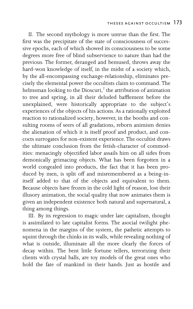II. The second mythology is more untrue than the first. The first was the precipitate of the state of consciousness of successive epochs, each of which showed its consciousness to be some degrees more free of blind subservience to nature than had the previous. The former, deranged and bemused, throws away the hard-won knowledge of itself, in the midst of a society which, by the all-encompassing exchange-relationship, eliminates precisely the elemental power the occultists claim to command. The helmsman looking to the Dioscuri, $^2$  the attribution of animation to tree and spring, in all their deluded bafflement before the unexplained, were historically appropriate to the subject's experiences of the objects of his actions. As a rationally exploited reaction to rationalized society, however, in the booths and consulting rooms of seers of all gradations, reborn animism denies the alienation of which it is itself proof and product, and concocts surrogates for non-existent experience. The occultist draws the ultimate conclusion from the fetish-character of commodities: menacingly objectified labor assails him on all sides from demonically grimacing objects. What has been forgotten in a world congealed into products, the fact that it has been produced by men, is split off and misremembered as a being-initself added to that of the objects and equivalent to them. Because objects have frozen in the cold light of reason, lost their illusory animation, the social quality that now animates them is given an independent existence both natural and supernatural, a thing among things.

III. By its regression to magic under late capitalism, thought is assimilated to late capitalist forms. The asocial twilight phenomena in the margins of the system, the pathetic attempts to squint through the chinks in its walls, while revealing nothing of what is outside, illuminate all the more clearly the forces of decay within. The bent little fortune tellers, terrorizing their clients with crystal balls, are toy models of the great ones who hold the fate of mankind in their hands. Just as hostile and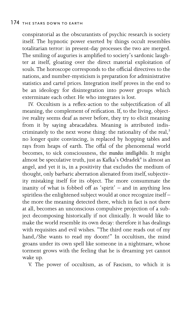conspiratorial as the obscurantists of psychic research is society itself. The hypnotic power exerted by things occult resembles totalitarian terror: in present-day processes the two are merged. The smiling of auguries is amplified to society's sardonic laughter at itself, gloating over the direct material exploitation of souls. The horoscope corresponds to the official directives to the nations, and number-mysticism is preparation for administrative statistics and cartel prices. Integration itself proves in the end to be an ideology for disintegration into power groups which exterminate each other. He who integrates is lost.

IV. Occultism is a reflex-action to the subjectification of all meaning, the complement of reification. If, to the living, objective reality seems deaf as never before, they try to elicit meaning from it by saying abracadabra. Meaning is attributed indiscriminately to the next worse thing: the rationality of the real, $3$ no longer quite convincing, is replaced by hopping tables and rays from heaps of earth. The offal of the phenomenal world becomes, to sick consciousness, the *mundus intelligibilis*. It might almost be speculative truth, just as Kafka's Odradek $^{\rm 4}$  is almost an angel, and yet it is, in a positivity that excludes the medium of thought, only barbaric aberration alienated from itself, subjectivity mistaking itself for its object. The more consummate the inanity of what is fobbed off as 'spirit' – and in anything less spiritless the enlightened subject would at once recognize itself – the more the meaning detected there, which in fact is not there at all, becomes an unconscious compulsive projection of a subject decomposing historically if not clinically. It would like to make the world resemble its own decay: therefore it has dealings with requisites and evil wishes. "The third one reads out of my hand,/She wants to read my doom!" In occultism, the mind groans under its own spell like someone in a nightmare, whose torment grows with the feeling that he is dreaming yet cannot wake up.

V. The power of occultism, as of Fascism, to which it is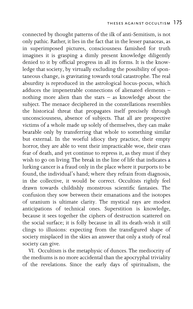connected by thought patterns of the ilk of anti-Semitism, is not only pathic. Rather, it lies in the fact that in the lesser panaceas, as in superimposed pictures, consciousness famished for truth imagines it is grasping a dimly present knowledge diligently denied to it by official progress in all its forms. It is the knowledge that society, by virtually excluding the possibility of spontaneous change, is gravitating towards total catastrophe. The real absurdity is reproduced in the astrological hocus-pocus, which adduces the impenetrable connections of alienated elements – nothing more alien than the stars – as knowledge about the subject. The menace deciphered in the constellations resembles the historical threat that propagates itself precisely through unconsciousness, absence of subjects. That all are prospective victims of a whole made up solely of themselves, they can make bearable only by transferring that whole to something similar but external. In the woeful idiocy they practice, their empty horror, they are able to vent their impracticable woe, their crass fear of death, and yet continue to repress it, as they must if they wish to go on living. The break in the line of life that indicates a lurking cancer is a fraud only in the place where it purports to be found, the individual's hand; where they refrain from diagnosis, in the collective, it would be correct. Occultists rightly feel drawn towards childishly monstrous scientific fantasies. The confusion they sow between their emanations and the isotopes of uranium is ultimate clarity. The mystical rays are modest anticipations of technical ones. Superstition is knowledge, because it sees together the ciphers of destruction scattered on the social surface; it is folly because in all its death-wish it still clings to illusions: expecting from the transfigured shape of society misplaced in the skies an answer that only a study of real society can give.

VI. Occultism is the metaphysic of dunces. The mediocrity of the mediums is no more accidental than the apocryphal triviality of the revelations. Since the early days of spiritualism, the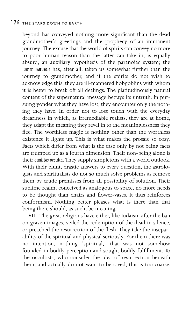#### 176 THE STARS DOWN TO EARTH

beyond has conveyed nothing more significant than the dead grandmother's greetings and the prophecy of an immanent journey. The excuse that the world of spirits can convey no more to poor human reason than the latter can take in, is equally absurd, an auxiliary hypothesis of the paranoiac system; the *lumen naturale* has, after all, taken us somewhat further than the journey to grandmother, and if the spirits do not wish to acknowledge this, they are ill-mannered hobgoblins with whom it is better to break off all dealings. The platitudinously natural content of the supernatural message betrays its untruth. In pursuing yonder what they have lost, they encounter only the nothing they have. In order not to lose touch with the everyday dreariness in which, as irremediable realists, they are at home, they adapt the meaning they revel in to the meaninglessness they flee. The worthless magic is nothing other than the worthless existence it lights up. This is what makes the prosaic so cosy. Facts which differ from what is the case only by not being facts are trumped up as a fourth dimension. Their non-being alone is their *qualitas occulta*. They supply simpletons with a world outlook. With their blunt, drastic answers to every question, the astrologists and spiritualists do not so much solve problems as remove them by crude premisses from all possibility of solution. Their sublime realm, conceived as analogous to space, no more needs to be thought than chairs and flower-vases. It thus reinforces conformism. Nothing better pleases what is there than that being there should, as such, be meaning.

VII. The great religions have either, like Judaism after the ban on graven images, veiled the redemption of the dead in silence, or preached the resurrection of the flesh. They take the inseparability of the spiritual and physical seriously. For them there was no intention, nothing 'spiritual,' that was not somehow founded in bodily perception and sought bodily fulfillment. To the occultists, who consider the idea of resurrection beneath them, and actually do not want to be saved, this is too coarse.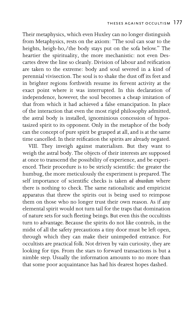Their metaphysics, which even Huxley can no longer distinguish from Metaphysics, rests on the axiom: "The soul can soar to the heights, heigh-ho,/the body stays put on the sofa below." The heartier the spirituality, the more mechanistic: not even Descartes drew the line so cleanly. Division of labour and reification are taken to the extreme: body and soul severed in a kind of perennial vivisection. The soul is to shake the dust off its feet and in brighter regions forthwith resume its fervent activity at the exact point where it was interrupted. In this declaration of independence, however, the soul becomes a cheap imitation of that from which it had achieved a false emancipation. In place of the interaction that even the most rigid philosophy admitted, the astral body is installed, ignominious concession of hypostasized spirit to its opponent. Only in the metaphor of the body can the concept of pure spirit be grasped at all, and is at the same time cancelled. In their reification the spirits are already negated.

VIII. They inveigh against materialism. But they want to weigh the astral body. The objects of their interests are supposed at once to transcend the possibility of experience, and be experienced. Their procedure is to be strictly scientific: the greater the humbug, the more meticulously the experiment is prepared. The self importance of scientific checks is taken *ad absurdum* where there is nothing to check. The same rationalistic and empiricist apparatus that threw the spirits out is being used to reimpose them on those who no longer trust their own reason. As if any elemental spirit would not turn tail for the traps that domination of nature sets for such fleeting beings. But even this the occultists turn to advantage. Because the spirits do not like controls, in the midst of all the safety precautions a tiny door must be left open, through which they can make their unimpeded entrance. For occultists are practical folk. Not driven by vain curiosity, they are looking for tips. From the stars to forward transactions is but a nimble step. Usually the information amounts to no more than that some poor acquaintance has had his dearest hopes dashed.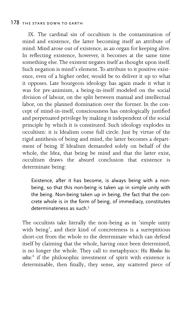IX. The cardinal sin of occultism is the contamination of mind and existence, the latter becoming itself an attribute of mind. Mind arose out of existence, as an organ for keeping alive. In reflecting existence, however, it becomes at the same time something else. The existent negates itself as thought upon itself. Such negation is mind's element. To attribute to it positive existence, even of a higher order, would be to deliver it up to what it opposes. Late bourgeois ideology has again made it what it was for pre-animism, a being-in-itself modeled on the social division of labour, on the split between manual and intellectual labor, on the planned domination over the former. In the concept of mind-in-itself, consciousness has ontologically justified and perpetuated privilege by making it independent of the social principle by which it is constituted. Such ideology explodes in occultism: it is Idealism come full circle. Just by virtue of the rigid antithesis of being and mind, the latter becomes a department of being. If Idealism demanded solely on behalf of the whole, the Idea, that being be mind and that the latter exist, occultism draws the absurd conclusion that existence is determinate being:

Existence, after it has become, is always being with a nonbeing, so that this non-being is taken up in simple unity with the being. Non-being taken up in being, the fact that the concrete whole is in the form of being, of immediacy, constitutes determinateness as such.<sup>5</sup>

The occultists take literally the non-being as in 'simple unity with being', and their kind of concreteness is a surreptitious short-cut from the whole to the determinate which can defend itself by claiming that the whole, having once been determined, is no longer the whole. They call to metaphysics: *Hic Rhodus hic* salta:<sup>6</sup> if the philosophic investment of spirit with existence is determinable, then finally, they sense, any scattered piece of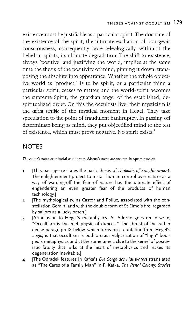existence must be justifiable as a particular spirit. The doctrine of the existence of the spirit, the ultimate exaltation of bourgeois consciousness, consequently bore teleologically within it the belief in spirits, its ultimate degradation. The shift to existence, always 'positive' and justifying the world, implies at the same time the thesis of the positivity of mind, pinning it down, transposing the absolute into appearance. Whether the whole objective world as 'product,' is to be spirit, or a particular thing a particular spirit, ceases to matter, and the world-spirit becomes the supreme Spirit, the guardian angel of the established, despiritualized order. On this the occultists live: their mysticism is the *enfant terrible* of the mystical moment in Hegel. They take speculation to the point of fraudulent bankruptcy. In passing off determinate being as mind, they put objectified mind to the test of existence, which must prove negative. No spirit exists.<sup>7</sup>

### **NOTES**

*The editor's notes, or editorial additions to Adorno's notes, are enclosed in square brackets.*

- 1 [This passage re-states the basic thesis of *Dialectic of Enlightenment*. The enlightenment project to install human control over nature as a way of warding-off the fear of nature has the ultimate effect of engendering an even greater fear of the products of human technology.]
- 2 [The mythological twins Castor and Pollux, associated with the constellation Gemini and with the double form of St Elmo's fire, regarded by sailors as a lucky omen.]
- 3 [An allusion to Hegel's metaphysics. As Adorno goes on to write, "Occultism is the metaphysic of dunces." The thrust of the rather dense paragraph IX below, which turns on a quotation from Hegel's *Logic*, is that occultism is both a crass vulgarization of "high" bourgeois metaphysics and at the same time a clue to the kernel of positivistic fatuity that lurks at the heart of metaphysics and makes its degeneration inevitable.]
- 4 [The Odradek features in Kafka's *Die Sorge des Hausvaters* (translated as "The Cares of a Family Man" in F. Kafka, *The Penal Colony: Stories*